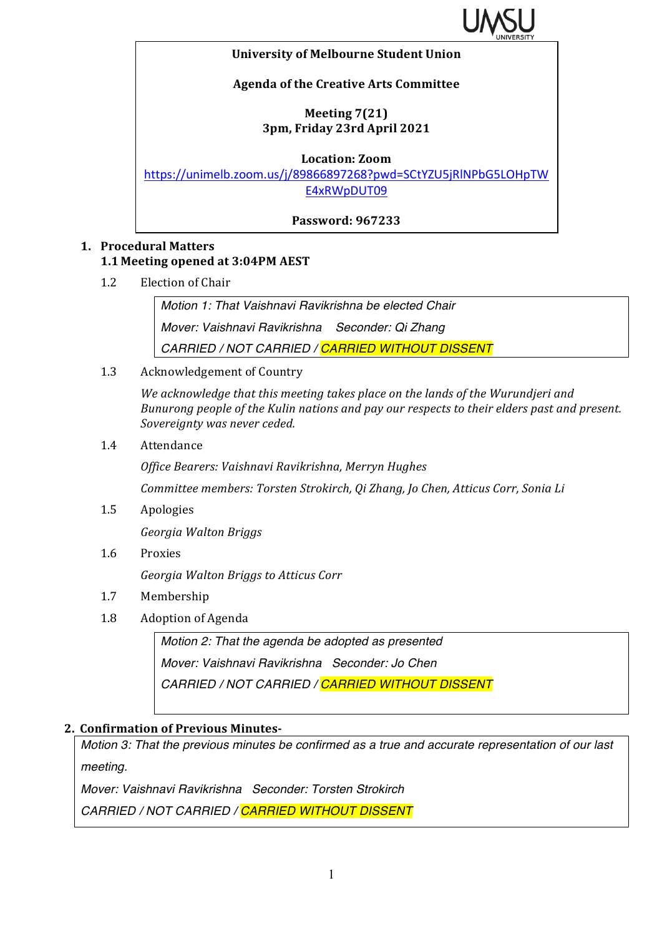

#### **University of Melbourne Student Union**

## **Agenda of the Creative Arts Committee**

## **Meeting 7(21) 3pm, Friday 23rd April 2021**

**Location: Zoom**

https://unimelb.zoom.us/j/89866897268?pwd=SCtYZU5jRlNPbG5LOHpTW E4xRWpDUT09

## **Password: 967233**

# **1. Procedural Matters 1.1 Meeting opened at 3:04PM AEST**

1.2 Election of Chair

*Motion 1: That Vaishnavi Ravikrishna be elected Chair Mover: Vaishnavi Ravikrishna Seconder: Qi Zhang CARRIED / NOT CARRIED / CARRIED WITHOUT DISSENT*

1.3 Acknowledgement of Country

We acknowledge that this meeting takes place on the lands of the Wurundjeri and *Bunurong people of the Kulin nations and pay our respects to their elders past and present.* Sovereignty was never ceded.

1.4 Attendance

*Office Bearers: Vaishnavi Ravikrishna, Merryn Hughes*

*Committee members: Torsten Strokirch, Qi Zhang, Jo Chen, Atticus Corr, Sonia Li* 

1.5 Apologies

*Georgia Walton Briggs*

1.6 Proxies

*Georgia Walton Briggs to Atticus Corr*

- 1.7 Membership
- 1.8 Adoption of Agenda

*Motion 2: That the agenda be adopted as presented Mover: Vaishnavi Ravikrishna Seconder: Jo Chen CARRIED / NOT CARRIED / CARRIED WITHOUT DISSENT*

### **2. Confirmation of Previous Minutes-**

*Motion 3: That the previous minutes be confirmed as a true and accurate representation of our last meeting.*

*Mover: Vaishnavi Ravikrishna Seconder: Torsten Strokirch*

*CARRIED / NOT CARRIED / CARRIED WITHOUT DISSENT*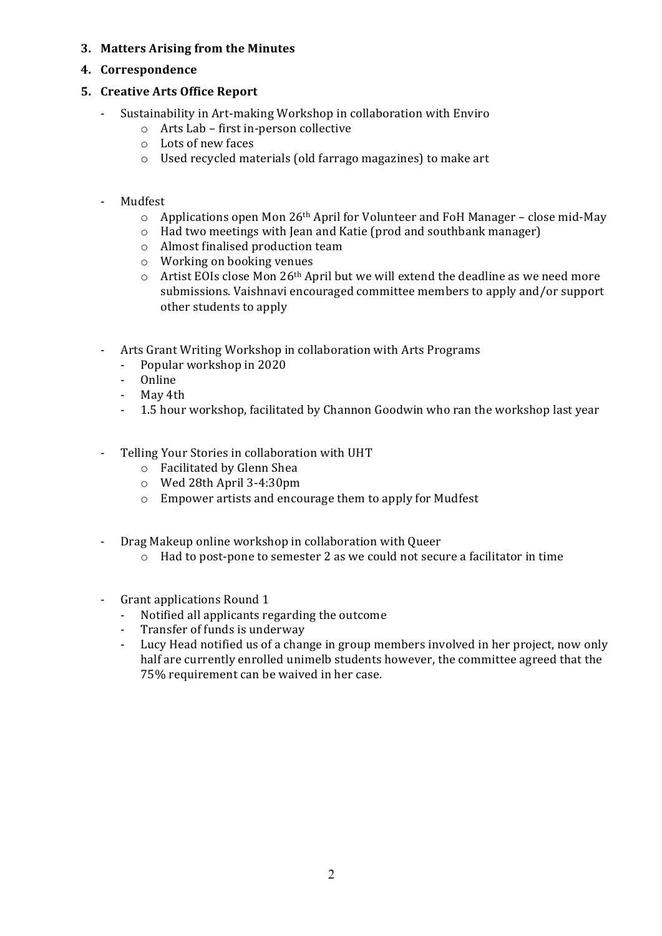### **3. Matters Arising from the Minutes**

#### **4. Correspondence**

#### **5. Creative Arts Office Report**

- Sustainability in Art-making Workshop in collaboration with Enviro
	- $\circ$  Arts Lab first in-person collective
	- $\circ$  Lots of new faces
	- o Used recycled materials (old farrago magazines) to make art
- Mudfest
	- $\circ$  Applications open Mon 26<sup>th</sup> April for Volunteer and FoH Manager close mid-May
	- $\circ$  Had two meetings with Jean and Katie (prod and southbank manager)
	- $\circ$  Almost finalised production team
	- $\circ$  Working on booking venues
	- $\circ$  Artist EOIs close Mon 26<sup>th</sup> April but we will extend the deadline as we need more submissions. Vaishnavi encouraged committee members to apply and/or support other students to apply
- Arts Grant Writing Workshop in collaboration with Arts Programs
	- Popular workshop in 2020
	- Online
	- May 4th
	- 1.5 hour workshop, facilitated by Channon Goodwin who ran the workshop last year
- Telling Your Stories in collaboration with UHT
	- o Facilitated by Glenn Shea
	- $\circ$  Wed 28th April 3-4:30pm
	- o Empower artists and encourage them to apply for Mudfest
- Drag Makeup online workshop in collaboration with Queer
	- $\circ$  Had to post-pone to semester 2 as we could not secure a facilitator in time
- Grant applications Round 1
	- Notified all applicants regarding the outcome
	- Transfer of funds is underway
	- Lucy Head notified us of a change in group members involved in her project, now only half are currently enrolled unimelb students however, the committee agreed that the 75% requirement can be waived in her case.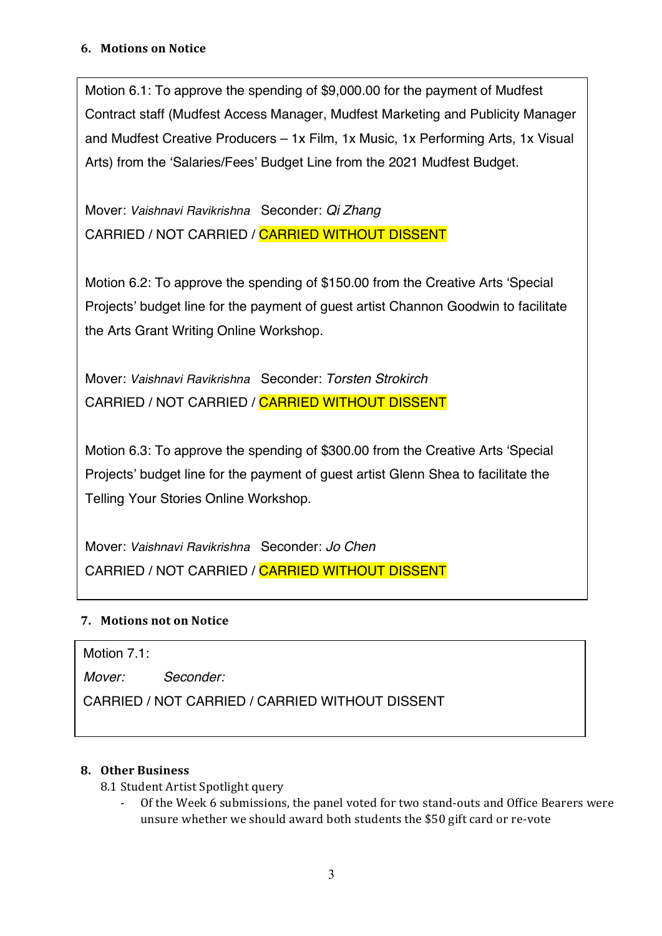Motion 6.1: To approve the spending of \$9,000.00 for the payment of Mudfest Contract staff (Mudfest Access Manager, Mudfest Marketing and Publicity Manager and Mudfest Creative Producers – 1x Film, 1x Music, 1x Performing Arts, 1x Visual Arts) from the 'Salaries/Fees' Budget Line from the 2021 Mudfest Budget.

Mover: *Vaishnavi Ravikrishna* Seconder: *Qi Zhang* CARRIED / NOT CARRIED / CARRIED WITHOUT DISSENT

Motion 6.2: To approve the spending of \$150.00 from the Creative Arts 'Special Projects' budget line for the payment of guest artist Channon Goodwin to facilitate the Arts Grant Writing Online Workshop.

Mover: *Vaishnavi Ravikrishna* Seconder: *Torsten Strokirch* CARRIED / NOT CARRIED / CARRIED WITHOUT DISSENT

Motion 6.3: To approve the spending of \$300.00 from the Creative Arts 'Special Projects' budget line for the payment of guest artist Glenn Shea to facilitate the Telling Your Stories Online Workshop.

Mover: *Vaishnavi Ravikrishna* Seconder: *Jo Chen* CARRIED / NOT CARRIED / CARRIED WITHOUT DISSENT

# **7.** Motions not on Notice

Motion 7.1:

*Mover: Seconder:*

CARRIED / NOT CARRIED / CARRIED WITHOUT DISSENT

# **8. Other Business**

- 8.1 Student Artist Spotlight query
	- Of the Week 6 submissions, the panel voted for two stand-outs and Office Bearers were unsure whether we should award both students the \$50 gift card or re-vote